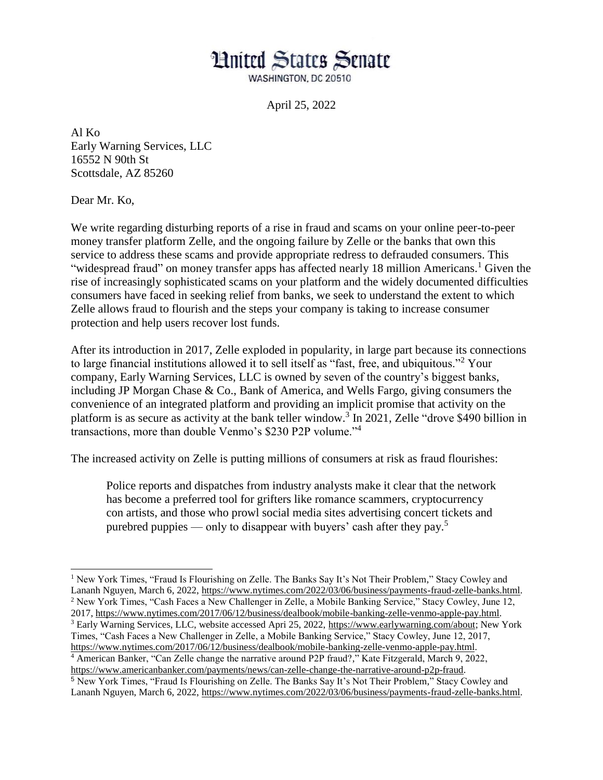## **Hnited States Senate**

WASHINGTON, DC 20510

April 25, 2022

Al Ko Early Warning Services, LLC 16552 N 90th St Scottsdale, AZ 85260

Dear Mr. Ko,

l

We write regarding disturbing reports of a rise in fraud and scams on your online peer-to-peer money transfer platform Zelle, and the ongoing failure by Zelle or the banks that own this service to address these scams and provide appropriate redress to defrauded consumers. This "widespread fraud" on money transfer apps has affected nearly 18 million Americans.<sup>1</sup> Given the rise of increasingly sophisticated scams on your platform and the widely documented difficulties consumers have faced in seeking relief from banks, we seek to understand the extent to which Zelle allows fraud to flourish and the steps your company is taking to increase consumer protection and help users recover lost funds.

After its introduction in 2017, Zelle exploded in popularity, in large part because its connections to large financial institutions allowed it to sell itself as "fast, free, and ubiquitous."<sup>2</sup> Your company, Early Warning Services, LLC is owned by seven of the country's biggest banks, including JP Morgan Chase & Co., Bank of America, and Wells Fargo, giving consumers the convenience of an integrated platform and providing an implicit promise that activity on the platform is as secure as activity at the bank teller window. 3 In 2021, Zelle "drove \$490 billion in transactions, more than double Venmo's \$230 P2P volume."<sup>4</sup>

The increased activity on Zelle is putting millions of consumers at risk as fraud flourishes:

Police reports and dispatches from industry analysts make it clear that the network has become a preferred tool for grifters like romance [scammers,](https://www.nytimes.com/2019/07/28/technology/facebook-military-scam.html) [cryptocurrency](https://www.nytimes.com/2022/02/21/technology/crypto-scammers-new-target-dating-apps.html) con [artists,](https://www.nytimes.com/2022/02/21/technology/crypto-scammers-new-target-dating-apps.html) and those who prowl social media sites advertising concert tickets and purebred puppies — only to disappear with buyers' cash after they pay.<sup>5</sup>

<sup>1</sup> New York Times, "Fraud Is Flourishing on Zelle. The Banks Say It's Not Their Problem," Stacy Cowley and Lananh Nguyen, March 6, 2022[, https://www.nytimes.com/2022/03/06/business/payments-fraud-zelle-banks.html.](https://www.nytimes.com/2022/03/06/business/payments-fraud-zelle-banks.html) <sup>2</sup> New York Times, "Cash Faces a New Challenger in Zelle, a Mobile Banking Service," Stacy Cowley, June 12, 2017, [https://www.nytimes.com/2017/06/12/business/dealbook/mobile-banking-zelle-venmo-apple-pay.html.](https://www.nytimes.com/2017/06/12/business/dealbook/mobile-banking-zelle-venmo-apple-pay.html) <sup>3</sup> Early Warning Services, LLC, website accessed Apri 25, 2022, [https://www.earlywarning.com/about;](https://www.earlywarning.com/about) New York Times, "Cash Faces a New Challenger in Zelle, a Mobile Banking Service," Stacy Cowley, June 12, 2017, [https://www.nytimes.com/2017/06/12/business/dealbook/mobile-banking-zelle-venmo-apple-pay.html.](https://www.nytimes.com/2017/06/12/business/dealbook/mobile-banking-zelle-venmo-apple-pay.html) <sup>4</sup> American Banker, "Can Zelle change the narrative around P2P fraud?," Kate Fitzgerald, March 9, 2022, [https://www.americanbanker.com/payments/news/can-zelle-change-the-narrative-around-p2p-fraud.](https://www.americanbanker.com/payments/news/can-zelle-change-the-narrative-around-p2p-fraud) <sup>5</sup> New York Times, "Fraud Is Flourishing on Zelle. The Banks Say It's Not Their Problem," Stacy Cowley and

Lananh Nguyen, March 6, 2022[, https://www.nytimes.com/2022/03/06/business/payments-fraud-zelle-banks.html.](https://www.nytimes.com/2022/03/06/business/payments-fraud-zelle-banks.html)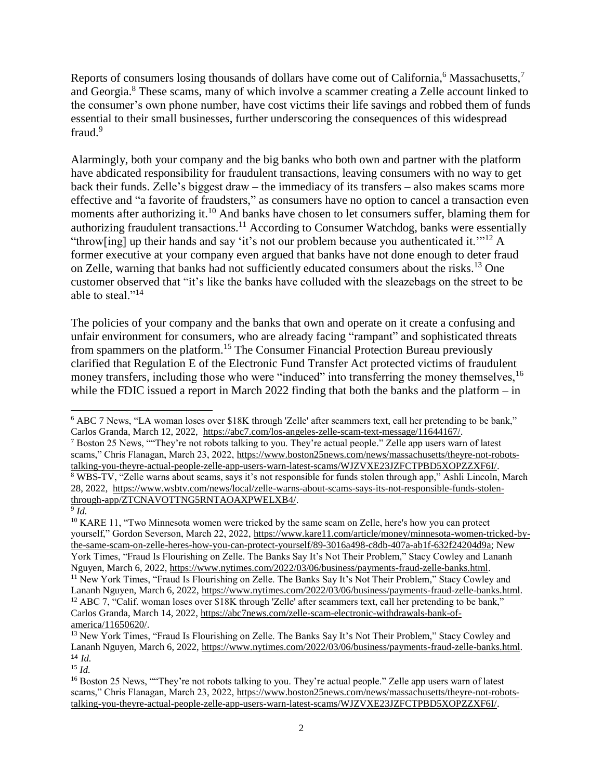Reports of consumers losing thousands of dollars have come out of California,<sup>6</sup> Massachusetts,<sup>7</sup> and Georgia.<sup>8</sup> These scams, many of which involve a scammer creating a Zelle account linked to the consumer's own phone number, have cost victims their life savings and robbed them of funds essential to their small businesses, further underscoring the consequences of this widespread fraud.<sup>9</sup>

Alarmingly, both your company and the big banks who both own and partner with the platform have abdicated responsibility for fraudulent transactions, leaving consumers with no way to get back their funds. Zelle's biggest draw – the immediacy of its transfers – also makes scams more effective and "a favorite of fraudsters," as consumers have no option to cancel a transaction even moments after authorizing it.<sup>10</sup> And banks have chosen to let consumers suffer, blaming them for authorizing fraudulent transactions.<sup>11</sup> According to Consumer Watchdog, banks were essentially "throw[ing] up their hands and say 'it's not our problem because you authenticated it."<sup>12</sup> A former executive at your company even argued that banks have not done enough to deter fraud on Zelle, warning that banks had not sufficiently educated consumers about the risks.<sup>13</sup> One customer observed that "it's like the banks have colluded with the sleazebags on the street to be able to steal."<sup>14</sup>

The policies of your company and the banks that own and operate on it create a confusing and unfair environment for consumers, who are already facing "rampant" and sophisticated threats from spammers on the platform.<sup>15</sup> The Consumer Financial Protection Bureau previously clarified that Regulation E of the Electronic Fund Transfer Act protected victims of fraudulent money transfers, including those who were "induced" into transferring the money themselves, <sup>16</sup> while the FDIC issued a report in March 2022 finding that both the banks and the platform – in

<sup>15</sup> *Id.*

l <sup>6</sup> ABC 7 News, "LA woman loses over \$18K through 'Zelle' after scammers text, call her pretending to be bank," Carlos Granda, March 12, 2022, [https://abc7.com/los-angeles-zelle-scam-text-message/11644167/.](https://abc7.com/los-angeles-zelle-scam-text-message/11644167/)

<sup>7</sup> Boston 25 News, ""They're not robots talking to you. They're actual people." Zelle app users warn of latest scams," Chris Flanagan, March 23, 2022, [https://www.boston25news.com/news/massachusetts/theyre-not-robots](https://www.boston25news.com/news/massachusetts/theyre-not-robots-talking-you-theyre-actual-people-zelle-app-users-warn-latest-scams/WJZVXE23JZFCTPBD5XOPZZXF6I/)[talking-you-theyre-actual-people-zelle-app-users-warn-latest-scams/WJZVXE23JZFCTPBD5XOPZZXF6I/.](https://www.boston25news.com/news/massachusetts/theyre-not-robots-talking-you-theyre-actual-people-zelle-app-users-warn-latest-scams/WJZVXE23JZFCTPBD5XOPZZXF6I/) <sup>8</sup> WBS-TV, "Zelle warns about scams, says it's not responsible for funds stolen through app," Ashli Lincoln, March 28, 2022, [https://www.wsbtv.com/news/local/zelle-warns-about-scams-says-its-not-responsible-funds-stolen](https://www.wsbtv.com/news/local/zelle-warns-about-scams-says-its-not-responsible-funds-stolen-through-app/ZTCNAVOTTNG5RNTAOAXPWELXB4/)[through-app/ZTCNAVOTTNG5RNTAOAXPWELXB4/.](https://www.wsbtv.com/news/local/zelle-warns-about-scams-says-its-not-responsible-funds-stolen-through-app/ZTCNAVOTTNG5RNTAOAXPWELXB4/)

<sup>9</sup> *Id.*

 $10$  KARE 11, "Two Minnesota women were tricked by the same scam on Zelle, here's how you can protect yourself," Gordon Severson, March 22, 2022, [https://www.kare11.com/article/money/minnesota-women-tricked-by](https://www.kare11.com/article/money/minnesota-women-tricked-by-the-same-scam-on-zelle-heres-how-you-can-protect-yourself/89-3016a498-c8db-407a-ab1f-632f24204d9a)[the-same-scam-on-zelle-heres-how-you-can-protect-yourself/89-3016a498-c8db-407a-ab1f-632f24204d9a;](https://www.kare11.com/article/money/minnesota-women-tricked-by-the-same-scam-on-zelle-heres-how-you-can-protect-yourself/89-3016a498-c8db-407a-ab1f-632f24204d9a) New York Times, "Fraud Is Flourishing on Zelle. The Banks Say It's Not Their Problem," Stacy Cowley and Lananh Nguyen, March 6, 2022, [https://www.nytimes.com/2022/03/06/business/payments-fraud-zelle-banks.html.](https://www.nytimes.com/2022/03/06/business/payments-fraud-zelle-banks.html) <sup>11</sup> New York Times, "Fraud Is Flourishing on Zelle. The Banks Say It's Not Their Problem," Stacy Cowley and Lananh Nguyen, March 6, 2022[, https://www.nytimes.com/2022/03/06/business/payments-fraud-zelle-banks.html.](https://www.nytimes.com/2022/03/06/business/payments-fraud-zelle-banks.html) <sup>12</sup> ABC 7, "Calif. woman loses over \$18K through 'Zelle' after scammers text, call her pretending to be bank," Carlos Granda, March 14, 2022[, https://abc7news.com/zelle-scam-electronic-withdrawals-bank-of](https://abc7news.com/zelle-scam-electronic-withdrawals-bank-of-america/11650620/)[america/11650620/.](https://abc7news.com/zelle-scam-electronic-withdrawals-bank-of-america/11650620/)

<sup>&</sup>lt;sup>13</sup> New York Times, "Fraud Is Flourishing on Zelle. The Banks Say It's Not Their Problem," Stacy Cowley and Lananh Nguyen, March 6, 2022[, https://www.nytimes.com/2022/03/06/business/payments-fraud-zelle-banks.html.](https://www.nytimes.com/2022/03/06/business/payments-fraud-zelle-banks.html) <sup>14</sup> *Id.*

<sup>&</sup>lt;sup>16</sup> Boston 25 News, ""They're not robots talking to you. They're actual people." Zelle app users warn of latest scams," Chris Flanagan, March 23, 2022, [https://www.boston25news.com/news/massachusetts/theyre-not-robots](https://www.boston25news.com/news/massachusetts/theyre-not-robots-talking-you-theyre-actual-people-zelle-app-users-warn-latest-scams/WJZVXE23JZFCTPBD5XOPZZXF6I/)[talking-you-theyre-actual-people-zelle-app-users-warn-latest-scams/WJZVXE23JZFCTPBD5XOPZZXF6I/.](https://www.boston25news.com/news/massachusetts/theyre-not-robots-talking-you-theyre-actual-people-zelle-app-users-warn-latest-scams/WJZVXE23JZFCTPBD5XOPZZXF6I/)